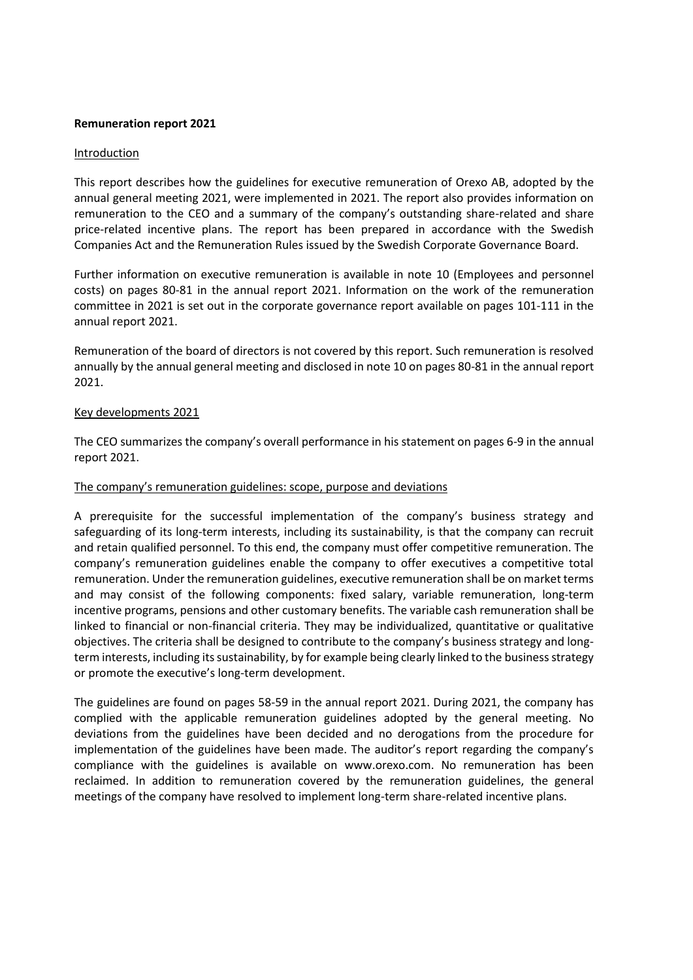# **Remuneration report 2021**

## Introduction

This report describes how the guidelines for executive remuneration of Orexo AB, adopted by the annual general meeting 2021, were implemented in 2021. The report also provides information on remuneration to the CEO and a summary of the company's outstanding share-related and share price-related incentive plans. The report has been prepared in accordance with the Swedish Companies Act and the Remuneration Rules issued by the Swedish Corporate Governance Board.

Further information on executive remuneration is available in note 10 (Employees and personnel costs) on pages 80-81 in the annual report 2021. Information on the work of the remuneration committee in 2021 is set out in the corporate governance report available on pages 101-111 in the annual report 2021.

Remuneration of the board of directors is not covered by this report. Such remuneration is resolved annually by the annual general meeting and disclosed in note 10 on pages 80-81 in the annual report 2021.

# Key developments 2021

The CEO summarizes the company's overall performance in his statement on pages 6-9 in the annual report 2021.

# The company's remuneration guidelines: scope, purpose and deviations

A prerequisite for the successful implementation of the company's business strategy and safeguarding of its long-term interests, including its sustainability, is that the company can recruit and retain qualified personnel. To this end, the company must offer competitive remuneration. The company's remuneration guidelines enable the company to offer executives a competitive total remuneration. Under the remuneration guidelines, executive remuneration shall be on market terms and may consist of the following components: fixed salary, variable remuneration, long-term incentive programs, pensions and other customary benefits. The variable cash remuneration shall be linked to financial or non-financial criteria. They may be individualized, quantitative or qualitative objectives. The criteria shall be designed to contribute to the company's business strategy and longterm interests, including its sustainability, by for example being clearly linked to the business strategy or promote the executive's long-term development.

The guidelines are found on pages 58-59 in the annual report 2021. During 2021, the company has complied with the applicable remuneration guidelines adopted by the general meeting. No deviations from the guidelines have been decided and no derogations from the procedure for implementation of the guidelines have been made. The auditor's report regarding the company's compliance with the guidelines is available on www.orexo.com. No remuneration has been reclaimed. In addition to remuneration covered by the remuneration guidelines, the general meetings of the company have resolved to implement long-term share-related incentive plans.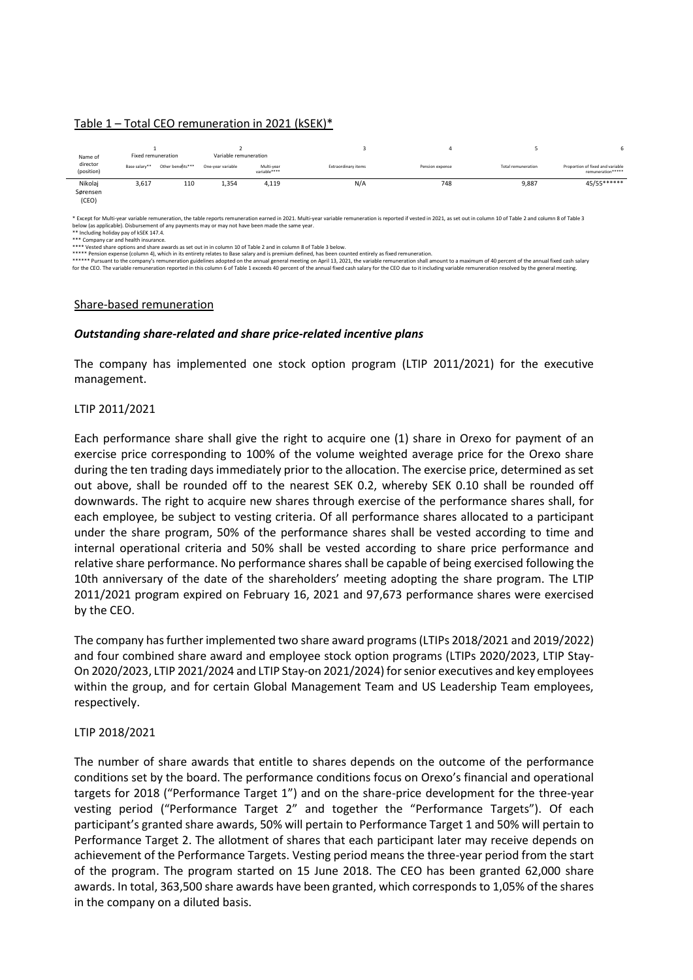#### Table 1 – Total CEO remuneration in 2021 (kSEK)\*

| Name of                      |               | Fixed remuneration | Variable remuneration |                            |                     |                 |                           |                                                       |
|------------------------------|---------------|--------------------|-----------------------|----------------------------|---------------------|-----------------|---------------------------|-------------------------------------------------------|
| director<br>(position)       | Base salary** | Other benefits***  | One-year variable     | Multi-year<br>variable**** | Extraordinary items | Pension expense | <b>Total remuneration</b> | Proportion of fixed and variable<br>remuneration***** |
| Nikolaj<br>Sørensen<br>(CEO) | 3,617         | 110                | 1,354                 | 4,119                      | N/A                 | 748             | 9,887                     | 45/55******                                           |

\* Except for Multi-year variable remuneration, the table reports remuneration earned in 2021. Multi-year variable remuneration is reported if vested in 2021, as set out in column 10 of Table 2 and column 8 of Table 3 nt of any payments may or may not have been made the same year. elow (as applicable). Disbursement of<br>\* Including holiday pay of kSEK 147.4.

\* Company car and health insurance.

\*\*\*\* Vested share options and share awards as set out in in column 10 of Table 2 and in column 8 of Table 3 below.

\*\*\*\*\* Pension expense (column 4), which in its entirety relates to Base salary and is premium defined, has been counted entirely as fixed remuneration.<br>\*\*\*\*\* Pursuant to the company's remuneration guidelines and proposing

# Share-based remuneration

# *Outstanding share-related and share price-related incentive plans*

The company has implemented one stock option program (LTIP 2011/2021) for the executive management.

# LTIP 2011/2021

Each performance share shall give the right to acquire one (1) share in Orexo for payment of an exercise price corresponding to 100% of the volume weighted average price for the Orexo share during the ten trading days immediately prior to the allocation. The exercise price, determined as set out above, shall be rounded off to the nearest SEK 0.2, whereby SEK 0.10 shall be rounded off downwards. The right to acquire new shares through exercise of the performance shares shall, for each employee, be subject to vesting criteria. Of all performance shares allocated to a participant under the share program, 50% of the performance shares shall be vested according to time and internal operational criteria and 50% shall be vested according to share price performance and relative share performance. No performance shares shall be capable of being exercised following the 10th anniversary of the date of the shareholders' meeting adopting the share program. The LTIP 2011/2021 program expired on February 16, 2021 and 97,673 performance shares were exercised by the CEO.

The company has further implemented two share award programs(LTIPs 2018/2021 and 2019/2022) and four combined share award and employee stock option programs (LTIPs 2020/2023, LTIP Stay-On 2020/2023, LTIP 2021/2024 and LTIP Stay-on 2021/2024) for senior executives and key employees within the group, and for certain Global Management Team and US Leadership Team employees, respectively.

#### LTIP 2018/2021

The number of share awards that entitle to shares depends on the outcome of the performance conditions set by the board. The performance conditions focus on Orexo's financial and operational targets for 2018 ("Performance Target 1") and on the share-price development for the three-year vesting period ("Performance Target 2" and together the "Performance Targets"). Of each participant's granted share awards, 50% will pertain to Performance Target 1 and 50% will pertain to Performance Target 2. The allotment of shares that each participant later may receive depends on achievement of the Performance Targets. Vesting period means the three-year period from the start of the program. The program started on 15 June 2018. The CEO has been granted 62,000 share awards. In total, 363,500 share awards have been granted, which corresponds to 1,05% of the shares in the company on a diluted basis.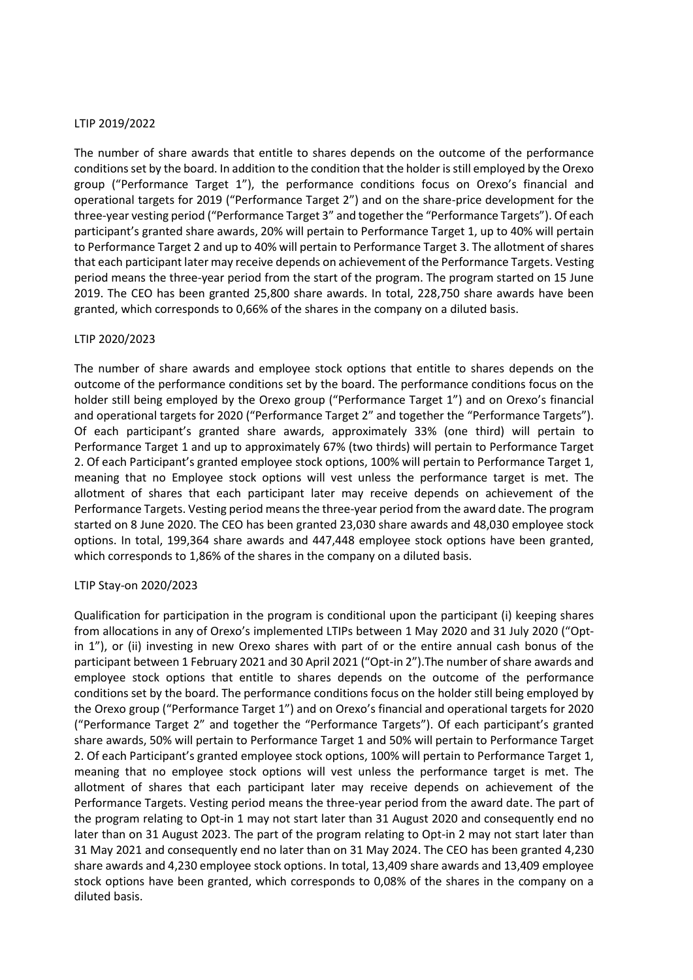# LTIP 2019/2022

The number of share awards that entitle to shares depends on the outcome of the performance conditions set by the board. In addition to the condition that the holder is still employed by the Orexo group ("Performance Target 1"), the performance conditions focus on Orexo's financial and operational targets for 2019 ("Performance Target 2") and on the share-price development for the three-year vesting period ("Performance Target 3" and together the "Performance Targets"). Of each participant's granted share awards, 20% will pertain to Performance Target 1, up to 40% will pertain to Performance Target 2 and up to 40% will pertain to Performance Target 3. The allotment of shares that each participant later may receive depends on achievement of the Performance Targets. Vesting period means the three-year period from the start of the program. The program started on 15 June 2019. The CEO has been granted 25,800 share awards. In total, 228,750 share awards have been granted, which corresponds to 0,66% of the shares in the company on a diluted basis.

# LTIP 2020/2023

The number of share awards and employee stock options that entitle to shares depends on the outcome of the performance conditions set by the board. The performance conditions focus on the holder still being employed by the Orexo group ("Performance Target 1") and on Orexo's financial and operational targets for 2020 ("Performance Target 2" and together the "Performance Targets"). Of each participant's granted share awards, approximately 33% (one third) will pertain to Performance Target 1 and up to approximately 67% (two thirds) will pertain to Performance Target 2. Of each Participant's granted employee stock options, 100% will pertain to Performance Target 1, meaning that no Employee stock options will vest unless the performance target is met. The allotment of shares that each participant later may receive depends on achievement of the Performance Targets. Vesting period means the three-year period from the award date. The program started on 8 June 2020. The CEO has been granted 23,030 share awards and 48,030 employee stock options. In total, 199,364 share awards and 447,448 employee stock options have been granted, which corresponds to 1,86% of the shares in the company on a diluted basis.

#### LTIP Stay-on 2020/2023

Qualification for participation in the program is conditional upon the participant (i) keeping shares from allocations in any of Orexo's implemented LTIPs between 1 May 2020 and 31 July 2020 ("Optin 1"), or (ii) investing in new Orexo shares with part of or the entire annual cash bonus of the participant between 1 February 2021 and 30 April 2021 ("Opt-in 2").The number of share awards and employee stock options that entitle to shares depends on the outcome of the performance conditions set by the board. The performance conditions focus on the holder still being employed by the Orexo group ("Performance Target 1") and on Orexo's financial and operational targets for 2020 ("Performance Target 2" and together the "Performance Targets"). Of each participant's granted share awards, 50% will pertain to Performance Target 1 and 50% will pertain to Performance Target 2. Of each Participant's granted employee stock options, 100% will pertain to Performance Target 1, meaning that no employee stock options will vest unless the performance target is met. The allotment of shares that each participant later may receive depends on achievement of the Performance Targets. Vesting period means the three-year period from the award date. The part of the program relating to Opt-in 1 may not start later than 31 August 2020 and consequently end no later than on 31 August 2023. The part of the program relating to Opt-in 2 may not start later than 31 May 2021 and consequently end no later than on 31 May 2024. The CEO has been granted 4,230 share awards and 4,230 employee stock options. In total, 13,409 share awards and 13,409 employee stock options have been granted, which corresponds to 0,08% of the shares in the company on a diluted basis.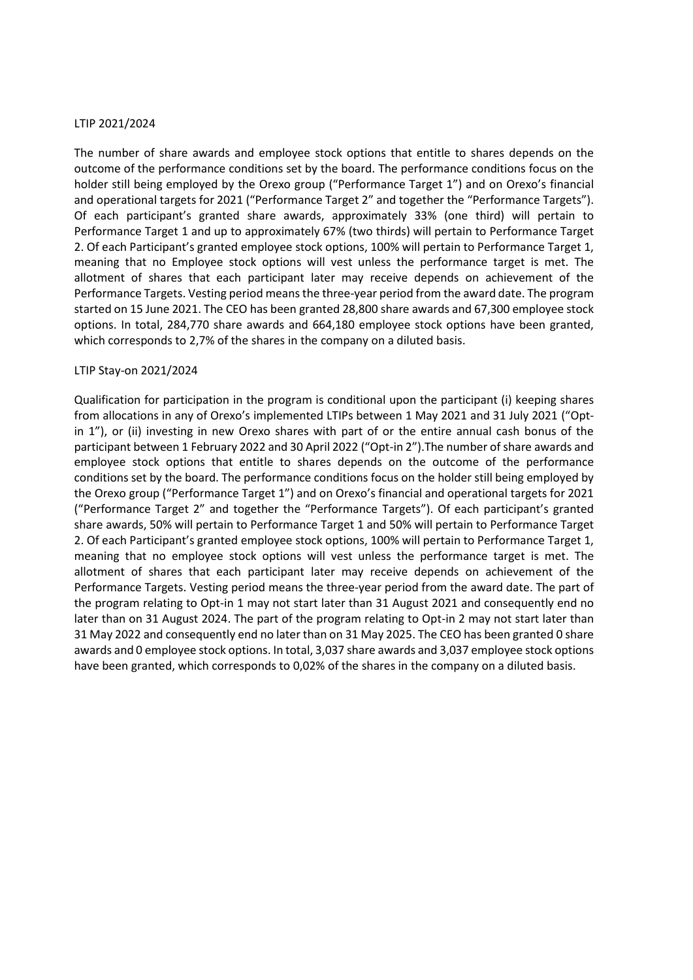## LTIP 2021/2024

The number of share awards and employee stock options that entitle to shares depends on the outcome of the performance conditions set by the board. The performance conditions focus on the holder still being employed by the Orexo group ("Performance Target 1") and on Orexo's financial and operational targets for 2021 ("Performance Target 2" and together the "Performance Targets"). Of each participant's granted share awards, approximately 33% (one third) will pertain to Performance Target 1 and up to approximately 67% (two thirds) will pertain to Performance Target 2. Of each Participant's granted employee stock options, 100% will pertain to Performance Target 1, meaning that no Employee stock options will vest unless the performance target is met. The allotment of shares that each participant later may receive depends on achievement of the Performance Targets. Vesting period means the three-year period from the award date. The program started on 15 June 2021. The CEO has been granted 28,800 share awards and 67,300 employee stock options. In total, 284,770 share awards and 664,180 employee stock options have been granted, which corresponds to 2,7% of the shares in the company on a diluted basis.

#### LTIP Stay-on 2021/2024

Qualification for participation in the program is conditional upon the participant (i) keeping shares from allocations in any of Orexo's implemented LTIPs between 1 May 2021 and 31 July 2021 ("Optin 1"), or (ii) investing in new Orexo shares with part of or the entire annual cash bonus of the participant between 1 February 2022 and 30 April 2022 ("Opt-in 2").The number of share awards and employee stock options that entitle to shares depends on the outcome of the performance conditions set by the board. The performance conditions focus on the holder still being employed by the Orexo group ("Performance Target 1") and on Orexo's financial and operational targets for 2021 ("Performance Target 2" and together the "Performance Targets"). Of each participant's granted share awards, 50% will pertain to Performance Target 1 and 50% will pertain to Performance Target 2. Of each Participant's granted employee stock options, 100% will pertain to Performance Target 1, meaning that no employee stock options will vest unless the performance target is met. The allotment of shares that each participant later may receive depends on achievement of the Performance Targets. Vesting period means the three-year period from the award date. The part of the program relating to Opt-in 1 may not start later than 31 August 2021 and consequently end no later than on 31 August 2024. The part of the program relating to Opt-in 2 may not start later than 31 May 2022 and consequently end no later than on 31 May 2025. The CEO has been granted 0 share awards and 0 employee stock options. In total, 3,037 share awards and 3,037 employee stock options have been granted, which corresponds to 0,02% of the shares in the company on a diluted basis.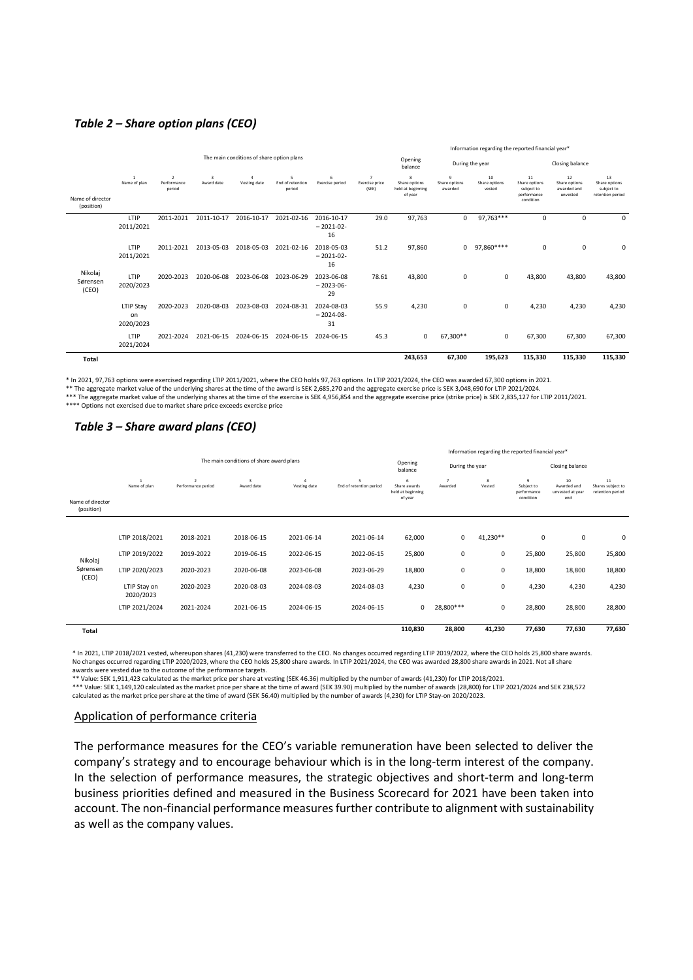## *Table 2 – Share option plans (CEO)*

|                                |                                           |                                         |                            | Information regarding the reported financial year* |                                 |                                 |                                           |                                                                     |                               |                               |                                                               |                                                |                                                       |
|--------------------------------|-------------------------------------------|-----------------------------------------|----------------------------|----------------------------------------------------|---------------------------------|---------------------------------|-------------------------------------------|---------------------------------------------------------------------|-------------------------------|-------------------------------|---------------------------------------------------------------|------------------------------------------------|-------------------------------------------------------|
|                                | The main conditions of share option plans |                                         |                            |                                                    |                                 | Opening<br>balance              | During the year                           |                                                                     |                               | Closing balance               |                                                               |                                                |                                                       |
| Name of director<br>(position) | $\overline{1}$<br>Name of plan            | $\overline{2}$<br>Performance<br>period | $\mathbf{R}$<br>Award date | $\Lambda$<br>Vesting date                          | 5<br>End of retention<br>period | 6<br>Exercise period            | $\overline{7}$<br>Exercise price<br>(SEK) | $\mathbf{\hat{z}}$<br>Share options<br>held at beginning<br>of year | 9<br>Share options<br>awarded | 10<br>Share options<br>vested | 11<br>Share options<br>subject to<br>performance<br>condition | 12<br>Share options<br>awarded and<br>unvested | 13<br>Share options<br>subject to<br>retention period |
| Nikolaj<br>Sørensen<br>(CEO)   | LTIP<br>2011/2021                         | 2011-2021                               | 2011-10-17                 | 2016-10-17                                         | 2021-02-16                      | 2016-10-17<br>$-2021-02-$<br>16 | 29.0                                      | 97,763                                                              | 0                             | 97,763***                     | 0                                                             | $\Omega$                                       | $\Omega$                                              |
|                                | LTIP<br>2011/2021                         | 2011-2021                               | 2013-05-03                 | 2018-05-03                                         | 2021-02-16                      | 2018-05-03<br>$-2021-02-$<br>16 | 51.2                                      | 97,860                                                              | 0                             | 97,860****                    | 0                                                             | $\Omega$                                       | $\mathbf 0$                                           |
|                                | LTIP<br>2020/2023                         | 2020-2023                               | 2020-06-08                 | 2023-06-08                                         | 2023-06-29                      | 2023-06-08<br>$-2023-06-$<br>29 | 78.61                                     | 43,800                                                              | 0                             | $\mathbf 0$                   | 43,800                                                        | 43,800                                         | 43,800                                                |
|                                | <b>LTIP Stay</b><br>on<br>2020/2023       | 2020-2023                               | 2020-08-03                 | 2023-08-03                                         | 2024-08-31                      | 2024-08-03<br>$-2024-08-$<br>31 | 55.9                                      | 4,230                                                               | 0                             | $\mathbf 0$                   | 4,230                                                         | 4,230                                          | 4,230                                                 |
|                                | LTIP<br>2021/2024                         | 2021-2024                               | 2021-06-15                 | 2024-06-15                                         | 2024-06-15                      | 2024-06-15                      | 45.3                                      | $\mathbf 0$                                                         | 67,300 **                     | $\mathbf 0$                   | 67,300                                                        | 67,300                                         | 67,300                                                |
| Total                          |                                           |                                         |                            |                                                    |                                 |                                 |                                           | 243,653                                                             | 67,300                        | 195,623                       | 115,330                                                       | 115,330                                        | 115,330                                               |

\* In 2021, 97,763 options were exercised regarding LTIP 2011/2021, where the CEO holds 97,763 options. In LTIP 2021/2024, the CEO was awarded 67,300 options in 2021.

\*\* The aggregate market value of the underlying shares at the time of the award is SEK 2,685,270 and the aggregate exercise price is SEK 3,048,690 for LTIP 2021/2024.

\*\*\* The aggregate market value of the underlying shares at the time of the exercise is SEK 4,956,854 and the aggregate exercise price (strike price) is SEK 2,835,127 for LTIP 2011/2021. \*\*\*\* Options not exercised due to market share price exceeds exercise price

# *Table 3 – Share award plans (CEO)*

|                                |                                          |                                      |                 |                               |                              |                                                   | Information regarding the reported financial year* |             |                                                          |                                              |                                             |  |
|--------------------------------|------------------------------------------|--------------------------------------|-----------------|-------------------------------|------------------------------|---------------------------------------------------|----------------------------------------------------|-------------|----------------------------------------------------------|----------------------------------------------|---------------------------------------------|--|
|                                | The main conditions of share award plans |                                      |                 |                               |                              | Opening<br>balance                                | During the year                                    |             |                                                          | Closing balance                              |                                             |  |
| Name of director<br>(position) | $\mathbf{1}$<br>Name of plan             | $\overline{2}$<br>Performance period | В<br>Award date | $\mathfrak q$<br>Vesting date | 5<br>End of retention period | 6<br>Share awards<br>held at beginning<br>of year | $\overline{7}$<br>Awarded                          | 8<br>Vested | $\overline{9}$<br>Subject to<br>performance<br>condition | 10<br>Awarded and<br>unvested at year<br>end | 11<br>Shares subject to<br>retention period |  |
|                                | LTIP 2018/2021                           | 2018-2021                            | 2018-06-15      | 2021-06-14                    | 2021-06-14                   | 62,000                                            | 0                                                  | 41,230**    | $\mathbf 0$                                              | $\mathbf 0$                                  | 0                                           |  |
| Nikolaj<br>Sørensen<br>(CEO)   | LTIP 2019/2022                           | 2019-2022                            | 2019-06-15      | 2022-06-15                    | 2022-06-15                   | 25,800                                            | 0                                                  | 0           | 25,800                                                   | 25,800                                       | 25,800                                      |  |
|                                | LTIP 2020/2023                           | 2020-2023                            | 2020-06-08      | 2023-06-08                    | 2023-06-29                   | 18,800                                            | 0                                                  | 0           | 18,800                                                   | 18,800                                       | 18,800                                      |  |
|                                | LTIP Stay on<br>2020/2023                | 2020-2023                            | 2020-08-03      | 2024-08-03                    | 2024-08-03                   | 4,230                                             | 0                                                  | 0           | 4,230                                                    | 4,230                                        | 4,230                                       |  |
|                                | LTIP 2021/2024                           | 2021-2024                            | 2021-06-15      | 2024-06-15                    | 2024-06-15                   | 0                                                 | 28,800***                                          | 0           | 28,800                                                   | 28,800                                       | 28,800                                      |  |
| <b>Total</b>                   |                                          |                                      |                 |                               |                              | 110,830                                           | 28,800                                             | 41,230      | 77,630                                                   | 77,630                                       | 77,630                                      |  |

\* In 2021, LTIP 2018/2021 vested, whereupon shares (41,230) were transferred to the CEO. No changes occurred regarding LTIP 2019/2022, where the CEO holds 25,800 share awards. No changes occurred regarding LTIP 2020/2023, where the CEO holds 25,800 share awards. In LTIP 2021/2024, the CEO was awarded 28,800 share awards in 2021. Not all share<br>awards were vested due to the outcome of the performa

\*\* Value: SEK 1,911,423 calculated as the market price per share at vesting (SEK 46.36) multiplied by the number of awards (41,230) for LTIP 2018/2021.<br>\*\*\* Value: SEK 1,149,120 calculated as the market price per share at t calculated as the market price per share at the time of award (SEK 56.40) multiplied by the number of awards (4,230) for LTIP Stay-on 2020/2023.

#### Application of performance criteria

The performance measures for the CEO's variable remuneration have been selected to deliver the company's strategy and to encourage behaviour which is in the long-term interest of the company. In the selection of performance measures, the strategic objectives and short-term and long-term business priorities defined and measured in the Business Scorecard for 2021 have been taken into account. The non-financial performance measures further contribute to alignment with sustainability as well as the company values.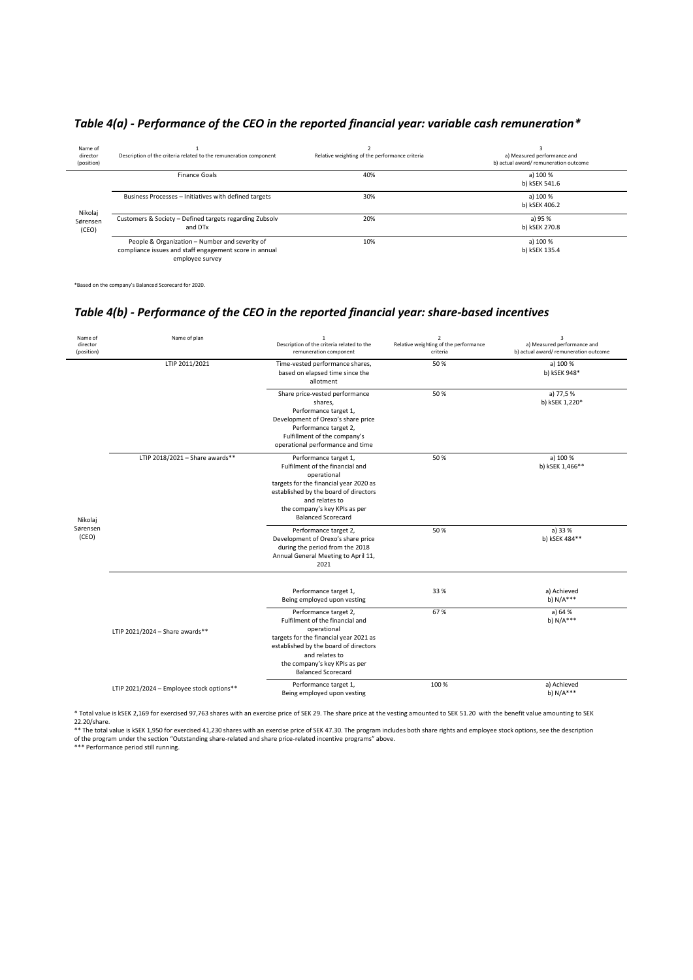| Name of<br>director<br>(position) | Description of the criteria related to the remuneration component                                                           | Relative weighting of the performance criteria | a) Measured performance and<br>b) actual award/remuneration outcome |
|-----------------------------------|-----------------------------------------------------------------------------------------------------------------------------|------------------------------------------------|---------------------------------------------------------------------|
| Nikolaj                           | Finance Goals                                                                                                               | 40%                                            | a) 100 %<br>b) kSEK 541.6                                           |
|                                   | Business Processes - Initiatives with defined targets                                                                       | 30%                                            | a) 100 %<br>b) kSEK 406.2                                           |
| Sørensen<br>(CEO)                 | Customers & Society - Defined targets regarding Zubsolv<br>and DTx                                                          | 20%                                            | a) 95 %<br>b) kSEK 270.8                                            |
|                                   | People & Organization - Number and severity of<br>compliance issues and staff engagement score in annual<br>employee survey | 10%                                            | a) 100 %<br>b) kSEK 135.4                                           |

# *Table 4(a) - Performance of the CEO in the reported financial year: variable cash remuneration\**

\*Based on the company's Balanced Scorecard for 2020.

i.

# *Table 4(b) - Performance of the CEO in the reported financial year: share-based incentives*

| Name of<br>director<br>(position) | Name of plan                              | $\mathbf 1$<br>Description of the criteria related to the<br>remuneration component                                                                                                                                                        | $\boldsymbol{2}$<br>Relative weighting of the performance<br>criteria | 3<br>a) Measured performance and<br>b) actual award/remuneration outcome |
|-----------------------------------|-------------------------------------------|--------------------------------------------------------------------------------------------------------------------------------------------------------------------------------------------------------------------------------------------|-----------------------------------------------------------------------|--------------------------------------------------------------------------|
|                                   | LTIP 2011/2021                            | Time-vested performance shares,<br>based on elapsed time since the<br>allotment                                                                                                                                                            | 50%                                                                   | a) 100 %<br>b) kSEK 948*                                                 |
|                                   |                                           | Share price-vested performance<br>shares,<br>Performance target 1,<br>Development of Orexo's share price<br>Performance target 2,<br>Fulfillment of the company's<br>operational performance and time                                      | 50%                                                                   | a) 77,5%<br>b) kSEK 1,220*                                               |
| Nikolaj                           | LTIP 2018/2021 - Share awards**           | Performance target 1,<br>Fulfilment of the financial and<br>operational<br>targets for the financial year 2020 as<br>established by the board of directors<br>and relates to<br>the company's key KPIs as per<br><b>Balanced Scorecard</b> | 50%                                                                   | a) 100 %<br>b) kSEK 1,466**                                              |
| Sørensen<br>(CEO)                 |                                           | Performance target 2,<br>Development of Orexo's share price<br>during the period from the 2018<br>Annual General Meeting to April 11,<br>2021                                                                                              | 50%                                                                   | a) 33 %<br>b) kSEK 484**                                                 |
|                                   |                                           | Performance target 1,<br>Being employed upon vesting                                                                                                                                                                                       | 33 %                                                                  | a) Achieved<br>b) $N/A***$                                               |
|                                   | LTIP 2021/2024 - Share awards**           | Performance target 2,<br>Fulfilment of the financial and<br>operational<br>targets for the financial year 2021 as<br>established by the board of directors<br>and relates to<br>the company's key KPIs as per<br><b>Balanced Scorecard</b> | 67%                                                                   | a) 64 %<br>b) $N/A***$                                                   |
|                                   | LTIP 2021/2024 - Employee stock options** | Performance target 1,<br>Being employed upon vesting                                                                                                                                                                                       | 100 %                                                                 | a) Achieved<br>b) $N/A***$                                               |

\* Total value is kSEK 2,169 for exercised 97,763 shares with an exercise price of SEK 29. The share price at the vesting amounted to SEK 51.20 with the benefit value amounting to SEK

22.20/share.<br>\*\* The total value is kSEK 1,950 for exercised 41,230 shares with an exercise price of SEK 47.30. The program includes both share rights and employee stock options, see the description<br>of the program under the